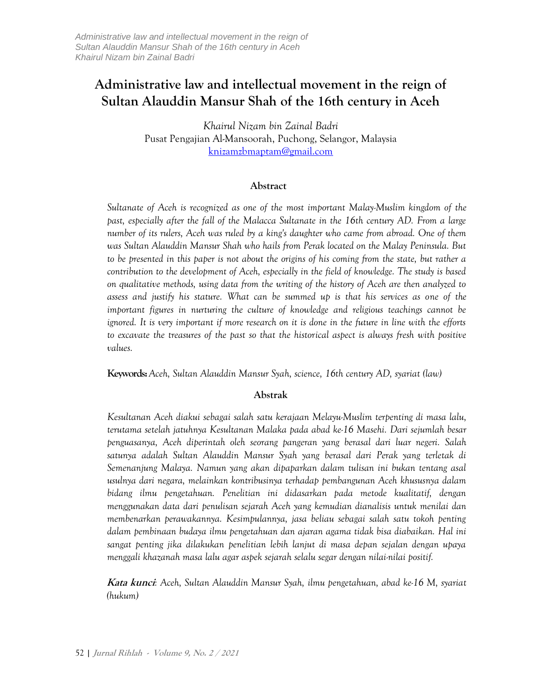# **Administrative law and intellectual movement in the reign of Sultan Alauddin Mansur Shah of the 16th century in Aceh**

*Khairul Nizam bin Zainal Badri* Pusat Pengajian Al-Mansoorah, Puchong, Selangor, Malaysia [knizamzbmaptam@gmail.com](mailto:knizamzbmaptam@gmail.com)

#### **Abstract**

*Sultanate of Aceh is recognized as one of the most important Malay-Muslim kingdom of the past, especially after the fall of the Malacca Sultanate in the 16th century AD. From a large number of its rulers, Aceh was ruled by a king's daughter who came from abroad. One of them was Sultan Alauddin Mansur Shah who hails from Perak located on the Malay Peninsula. But to be presented in this paper is not about the origins of his coming from the state, but rather a contribution to the development of Aceh, especially in the field of knowledge. The study is based on qualitative methods, using data from the writing of the history of Aceh are then analyzed to assess and justify his stature. What can be summed up is that his services as one of the important figures in nurturing the culture of knowledge and religious teachings cannot be ignored. It is very important if more research on it is done in the future in line with the efforts to excavate the treasures of the past so that the historical aspect is always fresh with positive values.*

**Keywords:** *Aceh, Sultan Alauddin Mansur Syah, science, 16th century AD, syariat (law)*

#### **Abstrak**

*Kesultanan Aceh diakui sebagai salah satu kerajaan Melayu-Muslim terpenting di masa lalu, terutama setelah jatuhnya Kesultanan Malaka pada abad ke-16 Masehi. Dari sejumlah besar penguasanya, Aceh diperintah oleh seorang pangeran yang berasal dari luar negeri. Salah satunya adalah Sultan Alauddin Mansur Syah yang berasal dari Perak yang terletak di Semenanjung Malaya. Namun yang akan dipaparkan dalam tulisan ini bukan tentang asal usulnya dari negara, melainkan kontribusinya terhadap pembangunan Aceh khususnya dalam bidang ilmu pengetahuan. Penelitian ini didasarkan pada metode kualitatif, dengan menggunakan data dari penulisan sejarah Aceh yang kemudian dianalisis untuk menilai dan membenarkan perawakannya. Kesimpulannya, jasa beliau sebagai salah satu tokoh penting dalam pembinaan budaya ilmu pengetahuan dan ajaran agama tidak bisa diabaikan. Hal ini sangat penting jika dilakukan penelitian lebih lanjut di masa depan sejalan dengan upaya menggali khazanah masa lalu agar aspek sejarah selalu segar dengan nilai-nilai positif.*

**Kata kunci***: Aceh, Sultan Alauddin Mansur Syah, ilmu pengetahuan, abad ke-16 M, syariat (hukum)*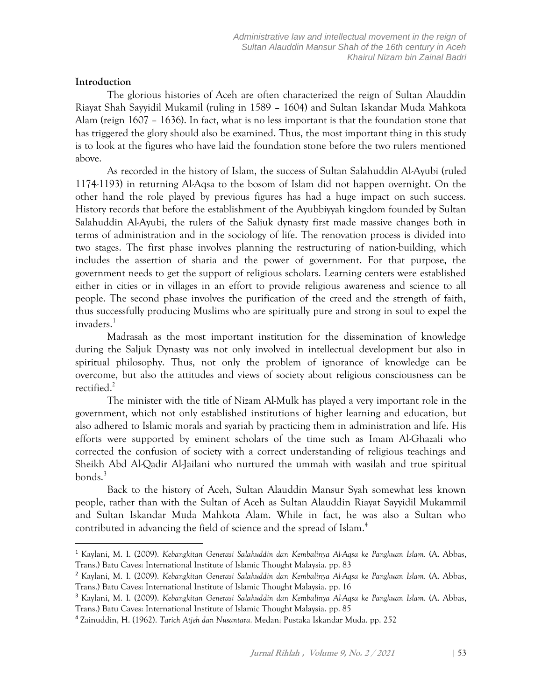# **Introduction**

The glorious histories of Aceh are often characterized the reign of Sultan Alauddin Riayat Shah Sayyidil Mukamil (ruling in 1589 – 1604) and Sultan Iskandar Muda Mahkota Alam (reign 1607 – 1636). In fact, what is no less important is that the foundation stone that has triggered the glory should also be examined. Thus, the most important thing in this study is to look at the figures who have laid the foundation stone before the two rulers mentioned above.

As recorded in the history of Islam, the success of Sultan Salahuddin Al-Ayubi (ruled 1174-1193) in returning Al-Aqsa to the bosom of Islam did not happen overnight. On the other hand the role played by previous figures has had a huge impact on such success. History records that before the establishment of the Ayubbiyyah kingdom founded by Sultan Salahuddin Al-Ayubi, the rulers of the Saljuk dynasty first made massive changes both in terms of administration and in the sociology of life. The renovation process is divided into two stages. The first phase involves planning the restructuring of nation-building, which includes the assertion of sharia and the power of government. For that purpose, the government needs to get the support of religious scholars. Learning centers were established either in cities or in villages in an effort to provide religious awareness and science to all people. The second phase involves the purification of the creed and the strength of faith, thus successfully producing Muslims who are spiritually pure and strong in soul to expel the invaders.<sup>1</sup>

Madrasah as the most important institution for the dissemination of knowledge during the Saljuk Dynasty was not only involved in intellectual development but also in spiritual philosophy. Thus, not only the problem of ignorance of knowledge can be overcome, but also the attitudes and views of society about religious consciousness can be rectified. 2

The minister with the title of Nizam Al-Mulk has played a very important role in the government, which not only established institutions of higher learning and education, but also adhered to Islamic morals and syariah by practicing them in administration and life. His efforts were supported by eminent scholars of the time such as Imam Al-Ghazali who corrected the confusion of society with a correct understanding of religious teachings and Sheikh Abd Al-Qadir Al-Jailani who nurtured the ummah with wasilah and true spiritual bonds. 3

Back to the history of Aceh, Sultan Alauddin Mansur Syah somewhat less known people, rather than with the Sultan of Aceh as Sultan Alauddin Riayat Sayyidil Mukammil and Sultan Iskandar Muda Mahkota Alam. While in fact, he was also a Sultan who contributed in advancing the field of science and the spread of Islam. 4

<sup>1</sup> Kaylani, M. I. (2009). *Kebangkitan Generasi Salahuddin dan Kembalinya Al-Aqsa ke Pangkuan Islam.* (A. Abbas, Trans.) Batu Caves: International Institute of Islamic Thought Malaysia. pp. 83

<sup>2</sup> Kaylani, M. I. (2009). *Kebangkitan Generasi Salahuddin dan Kembalinya Al-Aqsa ke Pangkuan Islam.* (A. Abbas, Trans.) Batu Caves: International Institute of Islamic Thought Malaysia. pp. 16

<sup>3</sup> Kaylani, M. I. (2009). *Kebangkitan Generasi Salahuddin dan Kembalinya Al-Aqsa ke Pangkuan Islam.* (A. Abbas, Trans.) Batu Caves: International Institute of Islamic Thought Malaysia. pp. 85

<sup>4</sup> Zainuddin, H. (1962). *Tarich Atjeh dan Nusantara.* Medan: Pustaka Iskandar Muda. pp. 252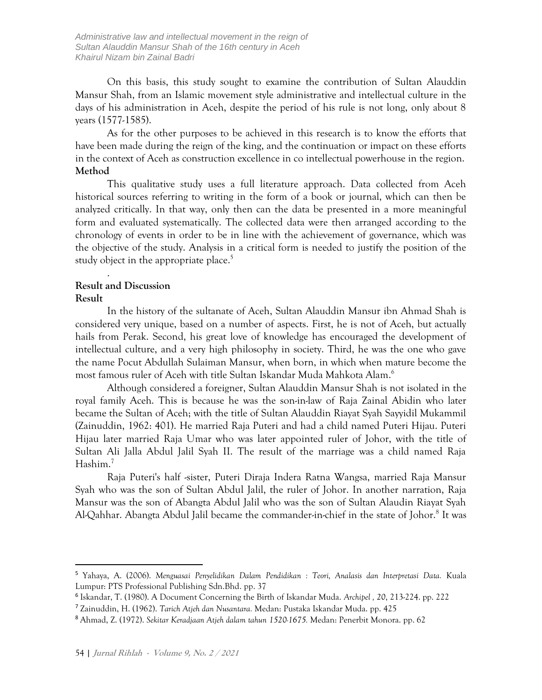On this basis, this study sought to examine the contribution of Sultan Alauddin Mansur Shah, from an Islamic movement style administrative and intellectual culture in the days of his administration in Aceh, despite the period of his rule is not long, only about 8 years (1577-1585).

As for the other purposes to be achieved in this research is to know the efforts that have been made during the reign of the king, and the continuation or impact on these efforts in the context of Aceh as construction excellence in co intellectual powerhouse in the region. **Method**

This qualitative study uses a full literature approach. Data collected from Aceh historical sources referring to writing in the form of a book or journal, which can then be analyzed critically. In that way, only then can the data be presented in a more meaningful form and evaluated systematically. The collected data were then arranged according to the chronology of events in order to be in line with the achievement of governance, which was the objective of the study. Analysis in a critical form is needed to justify the position of the study object in the appropriate place. 5

## **Result and Discussion**

.

#### **Result**

In the history of the sultanate of Aceh, Sultan Alauddin Mansur ibn Ahmad Shah is considered very unique, based on a number of aspects. First, he is not of Aceh, but actually hails from Perak. Second, his great love of knowledge has encouraged the development of intellectual culture, and a very high philosophy in society. Third, he was the one who gave the name Pocut Abdullah Sulaiman Mansur, when born, in which when mature become the most famous ruler of Aceh with title Sultan Iskandar Muda Mahkota Alam. 6

Although considered a foreigner, Sultan Alauddin Mansur Shah is not isolated in the royal family Aceh. This is because he was the son-in-law of Raja Zainal Abidin who later became the Sultan of Aceh; with the title of Sultan Alauddin Riayat Syah Sayyidil Mukammil (Zainuddin, 1962: 401). He married Raja Puteri and had a child named Puteri Hijau. Puteri Hijau later married Raja Umar who was later appointed ruler of Johor, with the title of Sultan Ali Jalla Abdul Jalil Syah II. The result of the marriage was a child named Raja Hashim. 7

Raja Puteri's half -sister, Puteri Diraja Indera Ratna Wangsa, married Raja Mansur Syah who was the son of Sultan Abdul Jalil, the ruler of Johor. In another narration, Raja Mansur was the son of Abangta Abdul Jalil who was the son of Sultan Alaudin Riayat Syah Al-Qahhar. Abangta Abdul Jalil became the commander-in-chief in the state of Johor.<sup>8</sup> It was

<sup>5</sup> Yahaya, A. (2006). *Menguasai Penyelidikan Dalam Pendidikan : Teori, Analasis dan Interpretasi Data.* Kuala Lumpur: PTS Professional Publishing Sdn.Bhd. pp. 37

<sup>6</sup> Iskandar, T. (1980). A Document Concerning the Birth of Iskandar Muda. *Archipel , 20*, 213-224. pp. 222

<sup>7</sup> Zainuddin, H. (1962). *Tarich Atjeh dan Nusantara.* Medan: Pustaka Iskandar Muda. pp. 425

<sup>8</sup> Ahmad, Z. (1972). *Sekitar Keradjaan Atjeh dalam tahun 1520-1675.* Medan: Penerbit Monora. pp. 62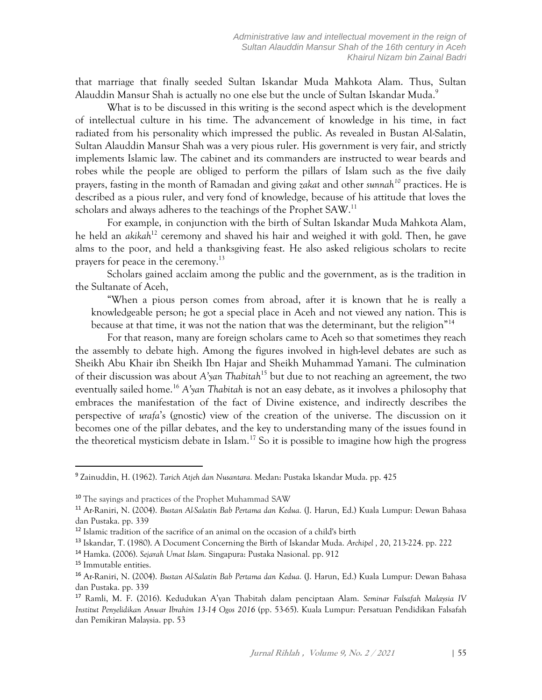that marriage that finally seeded Sultan Iskandar Muda Mahkota Alam. Thus, Sultan Alauddin Mansur Shah is actually no one else but the uncle of Sultan Iskandar Muda.<sup>9</sup>

What is to be discussed in this writing is the second aspect which is the development of intellectual culture in his time. The advancement of knowledge in his time, in fact radiated from his personality which impressed the public. As revealed in Bustan Al-Salatin, Sultan Alauddin Mansur Shah was a very pious ruler. His government is very fair, and strictly implements Islamic law. The cabinet and its commanders are instructed to wear beards and robes while the people are obliged to perform the pillars of Islam such as the five daily prayers, fasting in the month of Ramadan and giving *zakat* and other *sunnah<sup>10</sup>* practices. He is described as a pious ruler, and very fond of knowledge, because of his attitude that loves the scholars and always adheres to the teachings of the Prophet SAW.<sup>11</sup>

For example, in conjunction with the birth of Sultan Iskandar Muda Mahkota Alam, he held an *akikah*<sup>12</sup> ceremony and shaved his hair and weighed it with gold. Then, he gave alms to the poor, and held a thanksgiving feast. He also asked religious scholars to recite prayers for peace in the ceremony.<sup>13</sup>

Scholars gained acclaim among the public and the government, as is the tradition in the Sultanate of Aceh,

"When a pious person comes from abroad, after it is known that he is really a knowledgeable person; he got a special place in Aceh and not viewed any nation. This is because at that time, it was not the nation that was the determinant, but the religion"<sup>14</sup>

For that reason, many are foreign scholars came to Aceh so that sometimes they reach the assembly to debate high. Among the figures involved in high-level debates are such as Sheikh Abu Khair ibn Sheikh Ibn Hajar and Sheikh Muhammad Yamani. The culmination of their discussion was about *A'yan Thabitah*<sup>15</sup> but due to not reaching an agreement, the two eventually sailed home. <sup>16</sup> *A'yan Thabitah* is not an easy debate, as it involves a philosophy that embraces the manifestation of the fact of Divine existence, and indirectly describes the perspective of *urafa*'s (gnostic) view of the creation of the universe. The discussion on it becomes one of the pillar debates, and the key to understanding many of the issues found in the theoretical mysticism debate in Islam. <sup>17</sup> So it is possible to imagine how high the progress

<sup>9</sup> Zainuddin, H. (1962). *Tarich Atjeh dan Nusantara.* Medan: Pustaka Iskandar Muda. pp. 425

<sup>10</sup> The sayings and practices of the Prophet Muhammad SAW

<sup>11</sup> Ar-Raniri, N. (2004). *Bustan Al-Salatin Bab Pertama dan Kedua.* (J. Harun, Ed.) Kuala Lumpur: Dewan Bahasa dan Pustaka. pp. 339

<sup>12</sup> Islamic tradition of the sacrifice of an animal on the occasion of a child's birth

<sup>13</sup> Iskandar, T. (1980). A Document Concerning the Birth of Iskandar Muda. *Archipel , 20*, 213-224. pp. 222

<sup>14</sup> Hamka. (2006). *Sejarah Umat Islam.* Singapura: Pustaka Nasional. pp. 912

<sup>15</sup> Immutable entities.

<sup>16</sup> Ar-Raniri, N. (2004). *Bustan Al-Salatin Bab Pertama dan Kedua.* (J. Harun, Ed.) Kuala Lumpur: Dewan Bahasa dan Pustaka. pp. 339

<sup>17</sup> Ramli, M. F. (2016). Kedudukan A'yan Thabitah dalam penciptaan Alam. *Seminar Falsafah Malaysia IV Institut Penyelidikan Anwar Ibrahim 13-14 Ogos 2016* (pp. 53-65). Kuala Lumpur: Persatuan Pendidikan Falsafah dan Pemikiran Malaysia. pp. 53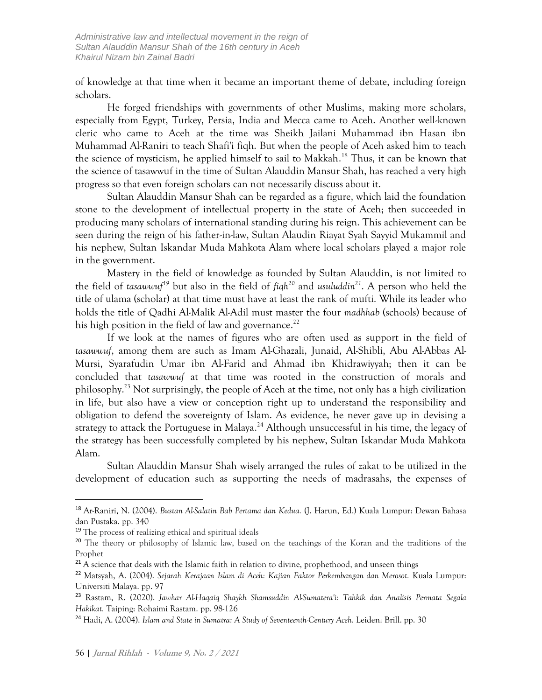of knowledge at that time when it became an important theme of debate, including foreign scholars.

He forged friendships with governments of other Muslims, making more scholars, especially from Egypt, Turkey, Persia, India and Mecca came to Aceh. Another well-known cleric who came to Aceh at the time was Sheikh Jailani Muhammad ibn Hasan ibn Muhammad Al-Raniri to teach Shafi'i fiqh. But when the people of Aceh asked him to teach the science of mysticism, he applied himself to sail to Makkah.<sup>18</sup> Thus, it can be known that the science of tasawwuf in the time of Sultan Alauddin Mansur Shah, has reached a very high progress so that even foreign scholars can not necessarily discuss about it.

Sultan Alauddin Mansur Shah can be regarded as a figure, which laid the foundation stone to the development of intellectual property in the state of Aceh; then succeeded in producing many scholars of international standing during his reign. This achievement can be seen during the reign of his father-in-law, Sultan Alaudin Riayat Syah Sayyid Mukammil and his nephew, Sultan Iskandar Muda Mahkota Alam where local scholars played a major role in the government.

Mastery in the field of knowledge as founded by Sultan Alauddin, is not limited to the field of *tasawwuf<sup>19</sup>* but also in the field of *fiqh<sup>20</sup>* and *usuluddin<sup>21</sup>*. A person who held the title of ulama (scholar) at that time must have at least the rank of mufti. While its leader who holds the title of Qadhi Al-Malik Al-Adil must master the four *madhhab* (schools) because of his high position in the field of law and governance.<sup>22</sup>

If we look at the names of figures who are often used as support in the field of *tasawwuf*, among them are such as Imam Al-Ghazali, Junaid, Al-Shibli, Abu Al-Abbas Al-Mursi, Syarafudin Umar ibn Al-Farid and Ahmad ibn Khidrawiyyah; then it can be concluded that *tasawwuf* at that time was rooted in the construction of morals and philosophy. <sup>23</sup> Not surprisingly, the people of Aceh at the time, not only has a high civilization in life, but also have a view or conception right up to understand the responsibility and obligation to defend the sovereignty of Islam. As evidence, he never gave up in devising a strategy to attack the Portuguese in Malaya.<sup>24</sup> Although unsuccessful in his time, the legacy of the strategy has been successfully completed by his nephew, Sultan Iskandar Muda Mahkota Alam.

Sultan Alauddin Mansur Shah wisely arranged the rules of zakat to be utilized in the development of education such as supporting the needs of madrasahs, the expenses of

<sup>18</sup> Ar-Raniri, N. (2004). *Bustan Al-Salatin Bab Pertama dan Kedua.* (J. Harun, Ed.) Kuala Lumpur: Dewan Bahasa dan Pustaka. pp. 340

<sup>&</sup>lt;sup>19</sup> The process of realizing ethical and spiritual ideals

<sup>&</sup>lt;sup>20</sup> The theory or philosophy of Islamic law, based on the teachings of the Koran and the traditions of the Prophet

<sup>&</sup>lt;sup>21</sup> A science that deals with the Islamic faith in relation to divine, prophethood, and unseen things

<sup>22</sup> Matsyah, A. (2004). *Sejarah Kerajaan Islam di Aceh: Kajian Faktor Perkembangan dan Merosot.* Kuala Lumpur: Universiti Malaya. pp. 97

<sup>23</sup> Rastam, R. (2020). *Jawhar Al-Haqaiq Shaykh Shamsuddin Al-Sumatera'i: Tahkik dan Analisis Permata Segala Hakikat.* Taiping: Rohaimi Rastam. pp. 98-126

<sup>24</sup> Hadi, A. (2004). *Islam and State in Sumatra: A Study of Seventeenth-Century Aceh.* Leiden: Brill. pp. 30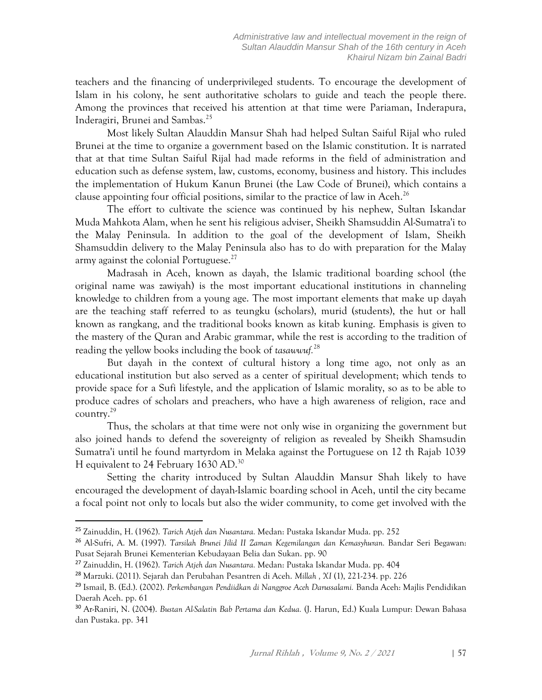teachers and the financing of underprivileged students. To encourage the development of Islam in his colony, he sent authoritative scholars to guide and teach the people there. Among the provinces that received his attention at that time were Pariaman, Inderapura, Inderagiri, Brunei and Sambas. 25

Most likely Sultan Alauddin Mansur Shah had helped Sultan Saiful Rijal who ruled Brunei at the time to organize a government based on the Islamic constitution. It is narrated that at that time Sultan Saiful Rijal had made reforms in the field of administration and education such as defense system, law, customs, economy, business and history. This includes the implementation of Hukum Kanun Brunei (the Law Code of Brunei), which contains a clause appointing four official positions, similar to the practice of law in Aceh.<sup>26</sup>

The effort to cultivate the science was continued by his nephew, Sultan Iskandar Muda Mahkota Alam, when he sent his religious adviser, Sheikh Shamsuddin Al-Sumatra'i to the Malay Peninsula. In addition to the goal of the development of Islam, Sheikh Shamsuddin delivery to the Malay Peninsula also has to do with preparation for the Malay army against the colonial Portuguese.<sup>27</sup>

Madrasah in Aceh, known as dayah, the Islamic traditional boarding school (the original name was zawiyah) is the most important educational institutions in channeling knowledge to children from a young age. The most important elements that make up dayah are the teaching staff referred to as teungku (scholars), murid (students), the hut or hall known as rangkang, and the traditional books known as kitab kuning. Emphasis is given to the mastery of the Quran and Arabic grammar, while the rest is according to the tradition of reading the yellow books including the book of *tasawwuf.* 28

But dayah in the context of cultural history a long time ago, not only as an educational institution but also served as a center of spiritual development; which tends to provide space for a Sufi lifestyle, and the application of Islamic morality, so as to be able to produce cadres of scholars and preachers, who have a high awareness of religion, race and country. 29

Thus, the scholars at that time were not only wise in organizing the government but also joined hands to defend the sovereignty of religion as revealed by Sheikh Shamsudin Sumatra'i until he found martyrdom in Melaka against the Portuguese on 12 th Rajab 1039 H equivalent to 24 February 1630 AD.<sup>30</sup>

Setting the charity introduced by Sultan Alauddin Mansur Shah likely to have encouraged the development of dayah-Islamic boarding school in Aceh, until the city became a focal point not only to locals but also the wider community, to come get involved with the

<sup>25</sup> Zainuddin, H. (1962). *Tarich Atjeh dan Nusantara.* Medan: Pustaka Iskandar Muda. pp. 252

<sup>26</sup> Al-Sufri, A. M. (1997). *Tarsilah Brunei Jilid II Zaman Kegemilangan dan Kemasyhuran.* Bandar Seri Begawan: Pusat Sejarah Brunei Kementerian Kebudayaan Belia dan Sukan. pp. 90

<sup>27</sup> Zainuddin, H. (1962). *Tarich Atjeh dan Nusantara.* Medan: Pustaka Iskandar Muda. pp. 404

<sup>28</sup> Marzuki. (2011). Sejarah dan Perubahan Pesantren di Aceh. *Millah , XI* (1), 221-234. pp. 226

<sup>29</sup> Ismail, B. (Ed.). (2002). *Perkembangan Pendiidkan di Nanggroe Aceh Darussalami.* Banda Aceh: Majlis Pendidikan Daerah Aceh. pp. 61

<sup>30</sup> Ar-Raniri, N. (2004). *Bustan Al-Salatin Bab Pertama dan Kedua.* (J. Harun, Ed.) Kuala Lumpur: Dewan Bahasa dan Pustaka. pp. 341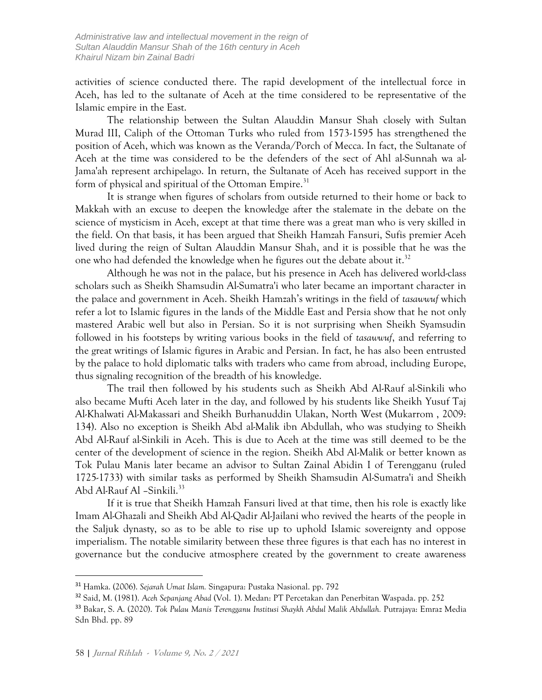activities of science conducted there. The rapid development of the intellectual force in Aceh, has led to the sultanate of Aceh at the time considered to be representative of the Islamic empire in the East.

The relationship between the Sultan Alauddin Mansur Shah closely with Sultan Murad III, Caliph of the Ottoman Turks who ruled from 1573-1595 has strengthened the position of Aceh, which was known as the Veranda/Porch of Mecca. In fact, the Sultanate of Aceh at the time was considered to be the defenders of the sect of Ahl al-Sunnah wa al-Jama'ah represent archipelago. In return, the Sultanate of Aceh has received support in the form of physical and spiritual of the Ottoman Empire.<sup>31</sup>

It is strange when figures of scholars from outside returned to their home or back to Makkah with an excuse to deepen the knowledge after the stalemate in the debate on the science of mysticism in Aceh, except at that time there was a great man who is very skilled in the field. On that basis, it has been argued that Sheikh Hamzah Fansuri, Sufis premier Aceh lived during the reign of Sultan Alauddin Mansur Shah, and it is possible that he was the one who had defended the knowledge when he figures out the debate about it.<sup>32</sup>

Although he was not in the palace, but his presence in Aceh has delivered world-class scholars such as Sheikh Shamsudin Al-Sumatra'i who later became an important character in the palace and government in Aceh. Sheikh Hamzah's writings in the field of *tasawwuf* which refer a lot to Islamic figures in the lands of the Middle East and Persia show that he not only mastered Arabic well but also in Persian. So it is not surprising when Sheikh Syamsudin followed in his footsteps by writing various books in the field of *tasawwuf*, and referring to the great writings of Islamic figures in Arabic and Persian. In fact, he has also been entrusted by the palace to hold diplomatic talks with traders who came from abroad, including Europe, thus signaling recognition of the breadth of his knowledge.

The trail then followed by his students such as Sheikh Abd Al-Rauf al-Sinkili who also became Mufti Aceh later in the day, and followed by his students like Sheikh Yusuf Taj Al-Khalwati Al-Makassari and Sheikh Burhanuddin Ulakan, North West (Mukarrom , 2009: 134). Also no exception is Sheikh Abd al-Malik ibn Abdullah, who was studying to Sheikh Abd Al-Rauf al-Sinkili in Aceh. This is due to Aceh at the time was still deemed to be the center of the development of science in the region. Sheikh Abd Al-Malik or better known as Tok Pulau Manis later became an advisor to Sultan Zainal Abidin I of Terengganu (ruled 1725-1733) with similar tasks as performed by Sheikh Shamsudin Al-Sumatra'i and Sheikh Abd Al-Rauf Al –Sinkili. 33

If it is true that Sheikh Hamzah Fansuri lived at that time, then his role is exactly like Imam Al-Ghazali and Sheikh Abd Al-Qadir Al-Jailani who revived the hearts of the people in the Saljuk dynasty, so as to be able to rise up to uphold Islamic sovereignty and oppose imperialism. The notable similarity between these three figures is that each has no interest in governance but the conducive atmosphere created by the government to create awareness

<sup>31</sup> Hamka. (2006). *Sejarah Umat Islam.* Singapura: Pustaka Nasional. pp. 792

<sup>32</sup> Said, M. (1981). *Aceh Sepanjang Abad* (Vol. 1). Medan: PT Percetakan dan Penerbitan Waspada. pp. 252

<sup>33</sup> Bakar, S. A. (2020). *Tok Pulau Manis Terengganu Institusi Shaykh Abdul Malik Abdullah.* Putrajaya: Emraz Media Sdn Bhd. pp. 89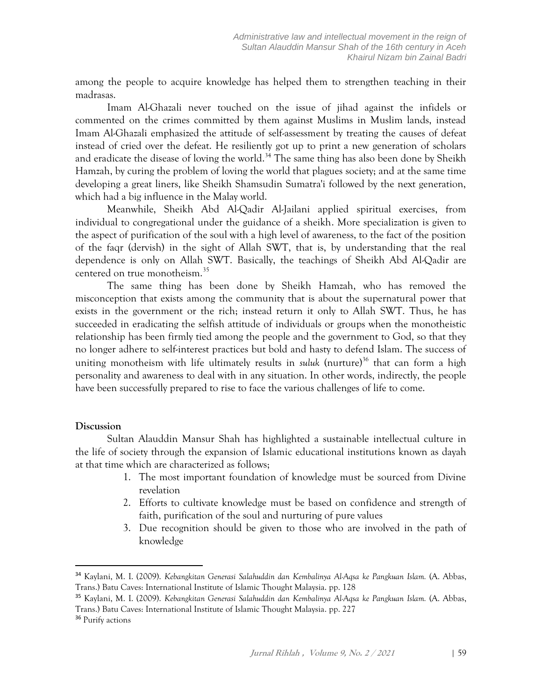among the people to acquire knowledge has helped them to strengthen teaching in their madrasas.

Imam Al-Ghazali never touched on the issue of jihad against the infidels or commented on the crimes committed by them against Muslims in Muslim lands, instead Imam Al-Ghazali emphasized the attitude of self-assessment by treating the causes of defeat instead of cried over the defeat. He resiliently got up to print a new generation of scholars and eradicate the disease of loving the world.<sup>34</sup> The same thing has also been done by Sheikh Hamzah, by curing the problem of loving the world that plagues society; and at the same time developing a great liners, like Sheikh Shamsudin Sumatra'i followed by the next generation, which had a big influence in the Malay world.

Meanwhile, Sheikh Abd Al-Qadir Al-Jailani applied spiritual exercises, from individual to congregational under the guidance of a sheikh. More specialization is given to the aspect of purification of the soul with a high level of awareness, to the fact of the position of the faqr (dervish) in the sight of Allah SWT, that is, by understanding that the real dependence is only on Allah SWT. Basically, the teachings of Sheikh Abd Al-Qadir are centered on true monotheism. 35

The same thing has been done by Sheikh Hamzah, who has removed the misconception that exists among the community that is about the supernatural power that exists in the government or the rich; instead return it only to Allah SWT. Thus, he has succeeded in eradicating the selfish attitude of individuals or groups when the monotheistic relationship has been firmly tied among the people and the government to God, so that they no longer adhere to self-interest practices but bold and hasty to defend Islam. The success of uniting monotheism with life ultimately results in *suluk* (nurture)<sup>36</sup> that can form a high personality and awareness to deal with in any situation. In other words, indirectly, the people have been successfully prepared to rise to face the various challenges of life to come.

# **Discussion**

Sultan Alauddin Mansur Shah has highlighted a sustainable intellectual culture in the life of society through the expansion of Islamic educational institutions known as dayah at that time which are characterized as follows;

- 1. The most important foundation of knowledge must be sourced from Divine revelation
- 2. Efforts to cultivate knowledge must be based on confidence and strength of faith, purification of the soul and nurturing of pure values
- 3. Due recognition should be given to those who are involved in the path of knowledge

<sup>34</sup> Kaylani, M. I. (2009). *Kebangkitan Generasi Salahuddin dan Kembalinya Al-Aqsa ke Pangkuan Islam.* (A. Abbas, Trans.) Batu Caves: International Institute of Islamic Thought Malaysia. pp. 128

<sup>35</sup> Kaylani, M. I. (2009). *Kebangkitan Generasi Salahuddin dan Kembalinya Al-Aqsa ke Pangkuan Islam.* (A. Abbas, Trans.) Batu Caves: International Institute of Islamic Thought Malaysia. pp. 227

<sup>&</sup>lt;sup>36</sup> Purify actions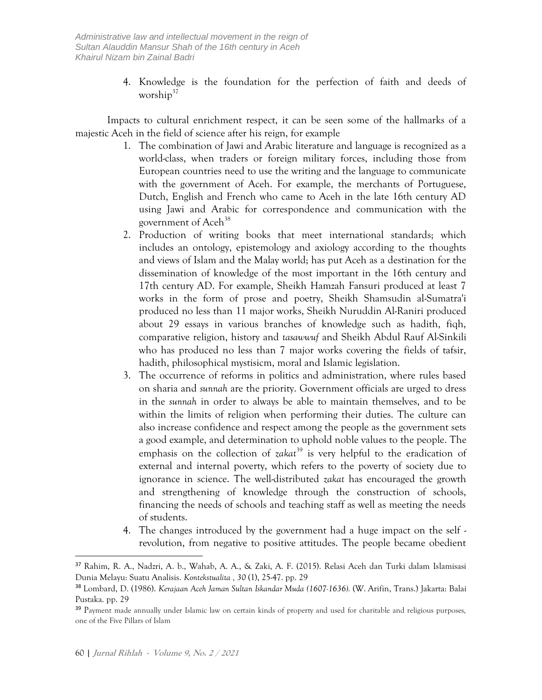4. Knowledge is the foundation for the perfection of faith and deeds of worship<sup>37</sup>

Impacts to cultural enrichment respect, it can be seen some of the hallmarks of a majestic Aceh in the field of science after his reign, for example

- 1. The combination of Jawi and Arabic literature and language is recognized as a world-class, when traders or foreign military forces, including those from European countries need to use the writing and the language to communicate with the government of Aceh. For example, the merchants of Portuguese, Dutch, English and French who came to Aceh in the late 16th century AD using Jawi and Arabic for correspondence and communication with the government of Aceh<sup>38</sup>
- 2. Production of writing books that meet international standards; which includes an ontology, epistemology and axiology according to the thoughts and views of Islam and the Malay world; has put Aceh as a destination for the dissemination of knowledge of the most important in the 16th century and 17th century AD. For example, Sheikh Hamzah Fansuri produced at least 7 works in the form of prose and poetry, Sheikh Shamsudin al-Sumatra'i produced no less than 11 major works, Sheikh Nuruddin Al-Raniri produced about 29 essays in various branches of knowledge such as hadith, fiqh, comparative religion, history and *tasawwuf* and Sheikh Abdul Rauf Al-Sinkili who has produced no less than 7 major works covering the fields of tafsir, hadith, philosophical mystisicm, moral and Islamic legislation.
- 3. The occurrence of reforms in politics and administration, where rules based on sharia and *sunnah* are the priority. Government officials are urged to dress in the *sunnah* in order to always be able to maintain themselves, and to be within the limits of religion when performing their duties. The culture can also increase confidence and respect among the people as the government sets a good example, and determination to uphold noble values to the people. The emphasis on the collection of *zakat*<sup>39</sup> is very helpful to the eradication of external and internal poverty, which refers to the poverty of society due to ignorance in science. The well-distributed *zakat* has encouraged the growth and strengthening of knowledge through the construction of schools, financing the needs of schools and teaching staff as well as meeting the needs of students.
- 4. The changes introduced by the government had a huge impact on the self revolution, from negative to positive attitudes. The people became obedient

<sup>37</sup> Rahim, R. A., Nadzri, A. b., Wahab, A. A., & Zaki, A. F. (2015). Relasi Aceh dan Turki dalam Islamisasi Dunia Melayu: Suatu Analisis. *Kontekstualita , 30* (1), 25-47. pp. 29

<sup>38</sup> Lombard, D. (1986). *Kerajaan Aceh Jaman Sultan Iskandar Muda (1607-1636).* (W. Arifin, Trans.) Jakarta: Balai Pustaka. pp. 29

<sup>&</sup>lt;sup>39</sup> Payment made annually under Islamic law on certain kinds of property and used for charitable and religious purposes, one of the Five Pillars of Islam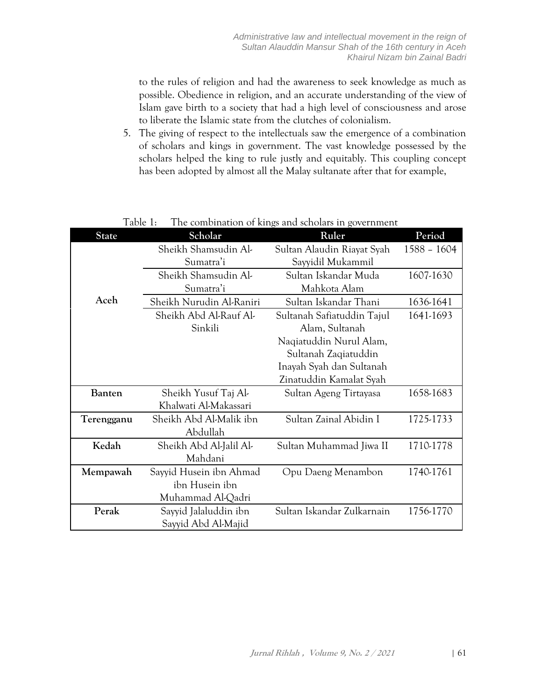to the rules of religion and had the awareness to seek knowledge as much as possible. Obedience in religion, and an accurate understanding of the view of Islam gave birth to a society that had a high level of consciousness and arose to liberate the Islamic state from the clutches of colonialism.

5. The giving of respect to the intellectuals saw the emergence of a combination of scholars and kings in government. The vast knowledge possessed by the scholars helped the king to rule justly and equitably. This coupling concept has been adopted by almost all the Malay sultanate after that for example,

| <b>State</b>  | Scholar                  | Ruler                      | Period        |
|---------------|--------------------------|----------------------------|---------------|
|               | Sheikh Shamsudin Al-     | Sultan Alaudin Riayat Syah | $1588 - 1604$ |
|               | Sumatra'i                | Sayyidil Mukammil          |               |
|               | Sheikh Shamsudin Al-     | Sultan Iskandar Muda       | 1607-1630     |
|               | Sumatra'i                | Mahkota Alam               |               |
| Aceh          | Sheikh Nurudin Al-Raniri | Sultan Iskandar Thani      | 1636-1641     |
|               | Sheikh Abd Al-Rauf Al-   | Sultanah Safiatuddin Tajul | 1641-1693     |
|               | Sinkili                  | Alam, Sultanah             |               |
|               |                          | Naqiatuddin Nurul Alam,    |               |
|               |                          | Sultanah Zaqiatuddin       |               |
|               |                          | Inayah Syah dan Sultanah   |               |
|               |                          | Zinatuddin Kamalat Syah    |               |
| <b>Banten</b> | Sheikh Yusuf Taj Al-     | Sultan Ageng Tirtayasa     | 1658-1683     |
|               | Khalwati Al-Makassari    |                            |               |
| Terengganu    | Sheikh Abd Al-Malik ibn  | Sultan Zainal Abidin I     | 1725-1733     |
|               | Abdullah                 |                            |               |
| Kedah         | Sheikh Abd Al-Jalil Al-  | Sultan Muhammad Jiwa II    | 1710-1778     |
|               | Mahdani                  |                            |               |
| Mempawah      | Sayyid Husein ibn Ahmad  | Opu Daeng Menambon         | 1740-1761     |
|               | ibn Husein ibn           |                            |               |
|               | Muhammad Al-Qadri        |                            |               |
| Perak         | Sayyid Jalaluddin ibn    | Sultan Iskandar Zulkarnain | 1756-1770     |
|               | Sayyid Abd Al-Majid      |                            |               |

Table 1: The combination of kings and scholars in government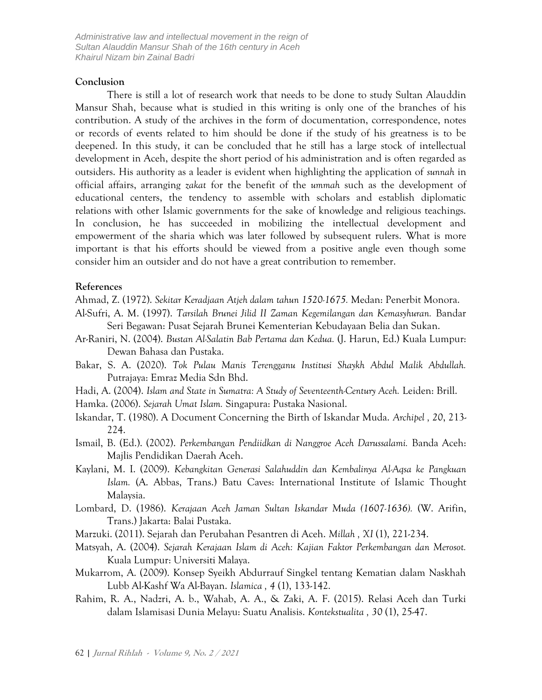*Administrative law and intellectual movement in the reign of Sultan Alauddin Mansur Shah of the 16th century in Aceh Khairul Nizam bin Zainal Badri*

#### **Conclusion**

There is still a lot of research work that needs to be done to study Sultan Alauddin Mansur Shah, because what is studied in this writing is only one of the branches of his contribution. A study of the archives in the form of documentation, correspondence, notes or records of events related to him should be done if the study of his greatness is to be deepened. In this study, it can be concluded that he still has a large stock of intellectual development in Aceh, despite the short period of his administration and is often regarded as outsiders. His authority as a leader is evident when highlighting the application of *sunnah* in official affairs, arranging *zakat* for the benefit of the *ummah* such as the development of educational centers, the tendency to assemble with scholars and establish diplomatic relations with other Islamic governments for the sake of knowledge and religious teachings. In conclusion, he has succeeded in mobilizing the intellectual development and empowerment of the sharia which was later followed by subsequent rulers. What is more important is that his efforts should be viewed from a positive angle even though some consider him an outsider and do not have a great contribution to remember.

## **References**

- Ahmad, Z. (1972). *Sekitar Keradjaan Atjeh dalam tahun 1520-1675.* Medan: Penerbit Monora.
- Al-Sufri, A. M. (1997). *Tarsilah Brunei Jilid II Zaman Kegemilangan dan Kemasyhuran.* Bandar Seri Begawan: Pusat Sejarah Brunei Kementerian Kebudayaan Belia dan Sukan.
- Ar-Raniri, N. (2004). *Bustan Al-Salatin Bab Pertama dan Kedua.* (J. Harun, Ed.) Kuala Lumpur: Dewan Bahasa dan Pustaka.
- Bakar, S. A. (2020). *Tok Pulau Manis Terengganu Institusi Shaykh Abdul Malik Abdullah.* Putrajaya: Emraz Media Sdn Bhd.
- Hadi, A. (2004). *Islam and State in Sumatra: A Study of Seventeenth-Century Aceh.* Leiden: Brill.
- Hamka. (2006). *Sejarah Umat Islam.* Singapura: Pustaka Nasional.
- Iskandar, T. (1980). A Document Concerning the Birth of Iskandar Muda. *Archipel , 20*, 213- 224.
- Ismail, B. (Ed.). (2002). *Perkembangan Pendiidkan di Nanggroe Aceh Darussalami.* Banda Aceh: Majlis Pendidikan Daerah Aceh.
- Kaylani, M. I. (2009). *Kebangkitan Generasi Salahuddin dan Kembalinya Al-Aqsa ke Pangkuan Islam.* (A. Abbas, Trans.) Batu Caves: International Institute of Islamic Thought Malaysia.
- Lombard, D. (1986). *Kerajaan Aceh Jaman Sultan Iskandar Muda (1607-1636).* (W. Arifin, Trans.) Jakarta: Balai Pustaka.
- Marzuki. (2011). Sejarah dan Perubahan Pesantren di Aceh. *Millah , XI* (1), 221-234.
- Matsyah, A. (2004). *Sejarah Kerajaan Islam di Aceh: Kajian Faktor Perkembangan dan Merosot.* Kuala Lumpur: Universiti Malaya.
- Mukarrom, A. (2009). Konsep Syeikh Abdurrauf Singkel tentang Kematian dalam Naskhah Lubb Al-Kashf Wa Al-Bayan. *Islamica , 4* (1), 133-142.
- Rahim, R. A., Nadzri, A. b., Wahab, A. A., & Zaki, A. F. (2015). Relasi Aceh dan Turki dalam Islamisasi Dunia Melayu: Suatu Analisis. *Kontekstualita , 30* (1), 25-47.